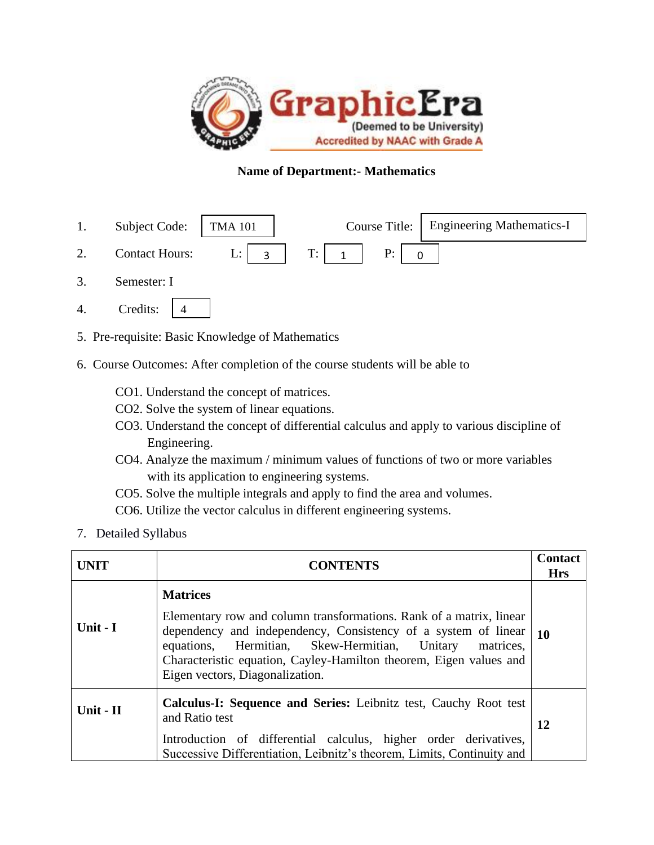

### **Name of Department:- Mathematics**

- 1. Subject Code: | TMA 101 | Course Title: Engineering Mathematics-I
- 2. Contact Hours: L:  $\begin{array}{|c|c|c|c|c|c|} \hline 2. & \text{Contact Hours:} & \text{L:} & 3 & T: & 1 \hline \end{array}$  P: 3 | T: | 1 | P: | 0
- 3. Semester: I
- 4. Credits: 4
- 5. Pre-requisite: Basic Knowledge of Mathematics
- 6. Course Outcomes: After completion of the course students will be able to
	- CO1. Understand the concept of matrices.
	- CO2. Solve the system of linear equations.
	- CO3. Understand the concept of differential calculus and apply to various discipline of Engineering.
	- CO4. Analyze the maximum / minimum values of functions of two or more variables with its application to engineering systems.
	- CO5. Solve the multiple integrals and apply to find the area and volumes.
	- CO6. Utilize the vector calculus in different engineering systems.
- 7. Detailed Syllabus

| <b>UNIT</b> | <b>CONTENTS</b>                                                                                                                                                                                                                                                                                                                 | <b>Contact</b><br><b>Hrs</b> |
|-------------|---------------------------------------------------------------------------------------------------------------------------------------------------------------------------------------------------------------------------------------------------------------------------------------------------------------------------------|------------------------------|
| Unit - I    | <b>Matrices</b><br>Elementary row and column transformations. Rank of a matrix, linear<br>dependency and independency, Consistency of a system of linear<br>equations, Hermitian, Skew-Hermitian, Unitary<br>matrices.<br>Characteristic equation, Cayley-Hamilton theorem, Eigen values and<br>Eigen vectors, Diagonalization. | <b>10</b>                    |
| Unit - $II$ | <b>Calculus-I: Sequence and Series: Leibnitz test, Cauchy Root test</b><br>and Ratio test<br>Introduction of differential calculus, higher order derivatives,<br>Successive Differentiation, Leibnitz's theorem, Limits, Continuity and                                                                                         | 12                           |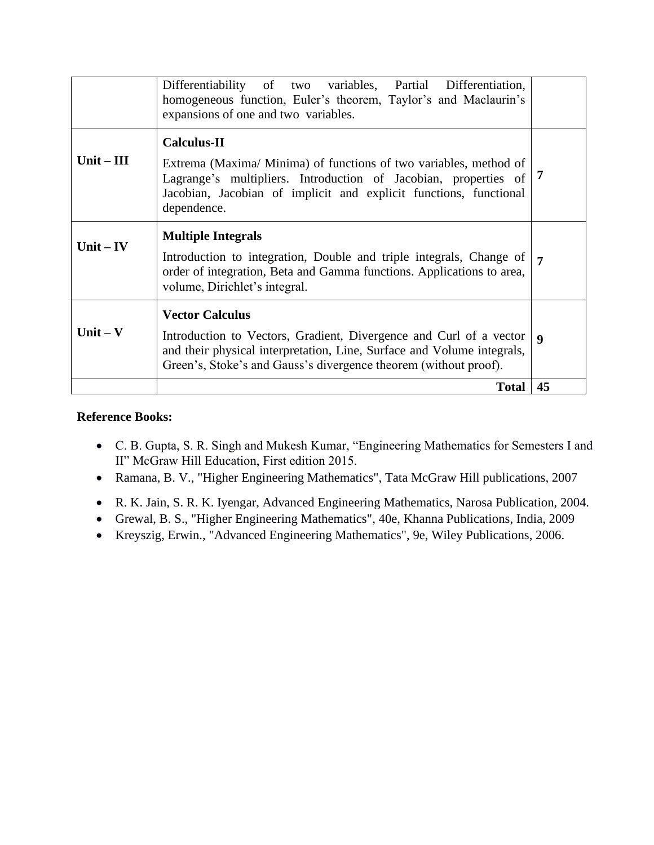|              | Differentiability of two variables, Partial Differentiation,<br>homogeneous function, Euler's theorem, Taylor's and Maclaurin's<br>expansions of one and two variables.                                                                        |                |
|--------------|------------------------------------------------------------------------------------------------------------------------------------------------------------------------------------------------------------------------------------------------|----------------|
| $Unit - III$ | <b>Calculus-II</b><br>Extrema (Maxima/ Minima) of functions of two variables, method of<br>Lagrange's multipliers. Introduction of Jacobian, properties of<br>Jacobian, Jacobian of implicit and explicit functions, functional<br>dependence. | -7             |
| Unit $-$ IV  | <b>Multiple Integrals</b><br>Introduction to integration, Double and triple integrals, Change of<br>order of integration, Beta and Gamma functions. Applications to area,<br>volume, Dirichlet's integral.                                     | $\overline{7}$ |
| Unit $-$ V   | <b>Vector Calculus</b><br>Introduction to Vectors, Gradient, Divergence and Curl of a vector<br>and their physical interpretation, Line, Surface and Volume integrals,<br>Green's, Stoke's and Gauss's divergence theorem (without proof).     | 9              |
|              | <b>Total</b>                                                                                                                                                                                                                                   | 45             |

### **Reference Books:**

- C. B. Gupta, S. R. Singh and Mukesh Kumar, "Engineering Mathematics for Semesters I and II" McGraw Hill Education, First edition 2015.
- Ramana, B. V., "Higher Engineering Mathematics", Tata McGraw Hill publications, 2007
- R. K. Jain, S. R. K. Iyengar, Advanced Engineering Mathematics, Narosa Publication, 2004.
- Grewal, B. S., "Higher Engineering Mathematics", 40e, Khanna Publications, India, 2009
- Kreyszig, Erwin., "Advanced Engineering Mathematics", 9e, Wiley Publications, 2006.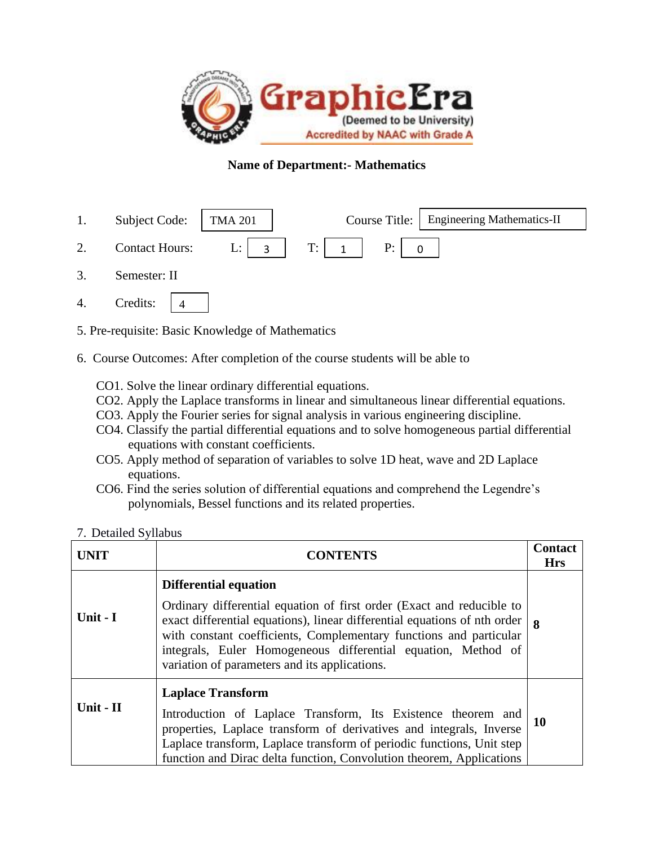

# **Name of Department:- Mathematics**

- 1. Subject Code: | TMA 201 | Course Title: 2. Contact Hours: L:  $\begin{array}{|c|c|c|c|c|c|} \hline 2. & \text{Contact Hours:} & L: & 3 & T: & 1 \hline \end{array}$  P: **Engineering Mathematics-II** 3 | T: | 1 | P: | 0
- 3. Semester: II
- 4. Credits: 4
- 5. Pre-requisite: Basic Knowledge of Mathematics
- 6. Course Outcomes: After completion of the course students will be able to
	- CO1. Solve the linear ordinary differential equations.
	- CO2. Apply the Laplace transforms in linear and simultaneous linear differential equations.
	- CO3. Apply the Fourier series for signal analysis in various engineering discipline.
	- CO4. Classify the partial differential equations and to solve homogeneous partial differential equations with constant coefficients.
	- CO5. Apply method of separation of variables to solve 1D heat, wave and 2D Laplace equations.
	- CO6. Find the series solution of differential equations and comprehend the Legendre's polynomials, Bessel functions and its related properties.
- 7. Detailed Syllabus

| <b>UNIT</b> | <b>CONTENTS</b>                                                                                                                                                                                                                                                                                                                                                            | <b>Contact</b><br><b>Hrs</b> |
|-------------|----------------------------------------------------------------------------------------------------------------------------------------------------------------------------------------------------------------------------------------------------------------------------------------------------------------------------------------------------------------------------|------------------------------|
| Unit - I    | <b>Differential equation</b><br>Ordinary differential equation of first order (Exact and reducible to<br>exact differential equations), linear differential equations of nth order<br>with constant coefficients, Complementary functions and particular<br>integrals, Euler Homogeneous differential equation, Method of<br>variation of parameters and its applications. | <b>8</b>                     |
| Unit - II   | <b>Laplace Transform</b><br>Introduction of Laplace Transform, Its Existence theorem and<br>properties, Laplace transform of derivatives and integrals, Inverse<br>Laplace transform, Laplace transform of periodic functions, Unit step<br>function and Dirac delta function, Convolution theorem, Applications                                                           | <b>10</b>                    |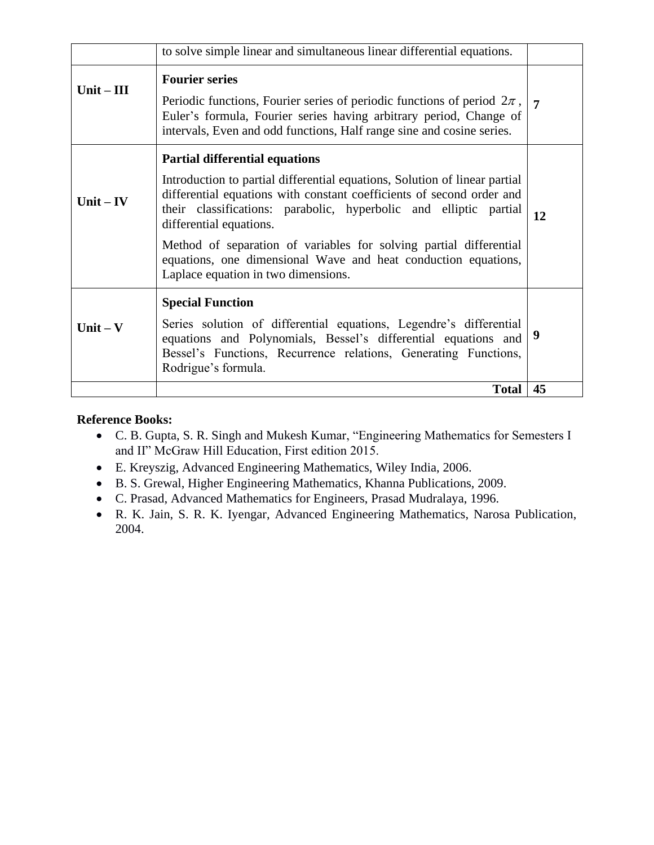|              | to solve simple linear and simultaneous linear differential equations.                                                                                                                                                                                                                                                                                                                                                                                                      |                |
|--------------|-----------------------------------------------------------------------------------------------------------------------------------------------------------------------------------------------------------------------------------------------------------------------------------------------------------------------------------------------------------------------------------------------------------------------------------------------------------------------------|----------------|
| Unit $-$ III | <b>Fourier series</b><br>Periodic functions, Fourier series of periodic functions of period $2\pi$ ,<br>Euler's formula, Fourier series having arbitrary period, Change of<br>intervals, Even and odd functions, Half range sine and cosine series.                                                                                                                                                                                                                         | $\overline{7}$ |
| Unit $-$ IV  | <b>Partial differential equations</b><br>Introduction to partial differential equations, Solution of linear partial<br>differential equations with constant coefficients of second order and<br>their classifications: parabolic, hyperbolic and elliptic partial<br>differential equations.<br>Method of separation of variables for solving partial differential<br>equations, one dimensional Wave and heat conduction equations,<br>Laplace equation in two dimensions. | 12             |
| Unit $-$ V   | <b>Special Function</b><br>Series solution of differential equations, Legendre's differential<br>equations and Polynomials, Bessel's differential equations and<br>Bessel's Functions, Recurrence relations, Generating Functions,<br>Rodrigue's formula.                                                                                                                                                                                                                   | 9              |
|              | <b>Total</b>                                                                                                                                                                                                                                                                                                                                                                                                                                                                | 45             |

# **Reference Books:**

- C. B. Gupta, S. R. Singh and Mukesh Kumar, "Engineering Mathematics for Semesters I and II" McGraw Hill Education, First edition 2015.
- E. Kreyszig, Advanced Engineering Mathematics, Wiley India, 2006.
- B. S. Grewal, Higher Engineering Mathematics, Khanna Publications, 2009.
- C. Prasad, Advanced Mathematics for Engineers, Prasad Mudralaya, 1996.
- R. K. Jain, S. R. K. Iyengar, Advanced Engineering Mathematics, Narosa Publication, 2004.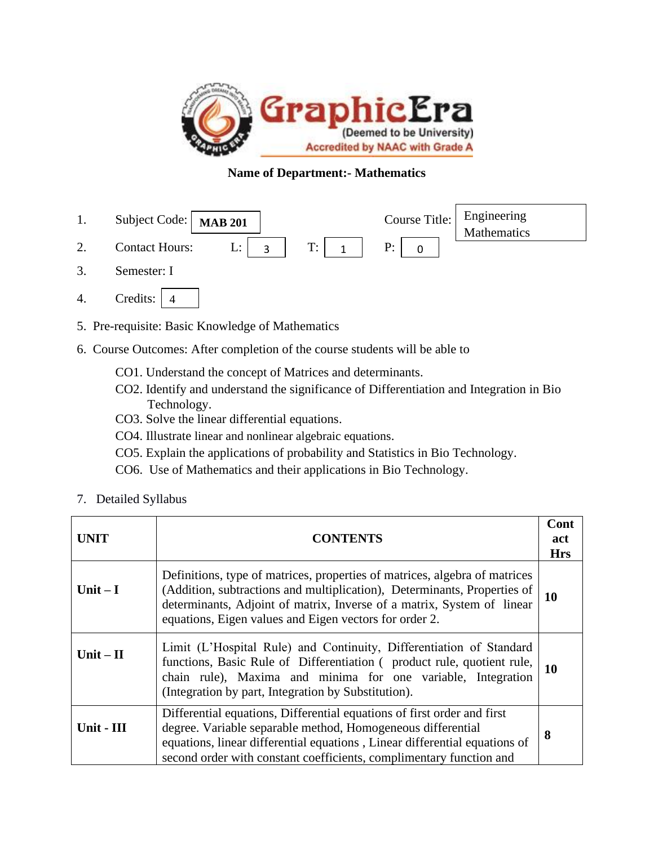

# **Name of Department:- Mathematics**

- 1. Subject Code:  $MAB 201$  Course Title: 2. Contact Hours: L:  $\begin{array}{|c|c|c|c|c|c|} \hline 2. & \text{Contact Hours:} & \text{L:} & 3 & T: & 1 \hline \end{array}$  P: 3. Semester: I Engineering **Mathematics MAB 201** 3 | T: | 1 | P: | 0
- 4. Credits: 4
- 5. Pre-requisite: Basic Knowledge of Mathematics
- 6. Course Outcomes: After completion of the course students will be able to
	- CO1. Understand the concept of Matrices and determinants.
	- CO2. Identify and understand the significance of Differentiation and Integration in Bio Technology.
	- CO3. Solve the linear differential equations.
	- CO4. Illustrate linear and nonlinear algebraic equations.
	- CO5. Explain the applications of probability and Statistics in Bio Technology.
	- CO6. Use of Mathematics and their applications in Bio Technology.
- 7. Detailed Syllabus

| UNIT       | <b>CONTENTS</b>                                                                                                                                                                                                                                                                             | Cont<br>act<br><b>Hrs</b> |
|------------|---------------------------------------------------------------------------------------------------------------------------------------------------------------------------------------------------------------------------------------------------------------------------------------------|---------------------------|
| Unit $-I$  | Definitions, type of matrices, properties of matrices, algebra of matrices<br>(Addition, subtractions and multiplication), Determinants, Properties of<br>determinants, Adjoint of matrix, Inverse of a matrix, System of linear<br>equations, Eigen values and Eigen vectors for order 2.  | 10                        |
| Unit $-II$ | Limit (L'Hospital Rule) and Continuity, Differentiation of Standard<br>functions, Basic Rule of Differentiation (product rule, quotient rule,<br>chain rule), Maxima and minima for one variable, Integration<br>(Integration by part, Integration by Substitution).                        | 10                        |
| Unit - III | Differential equations, Differential equations of first order and first<br>degree. Variable separable method, Homogeneous differential<br>equations, linear differential equations, Linear differential equations of<br>second order with constant coefficients, complimentary function and | 8                         |